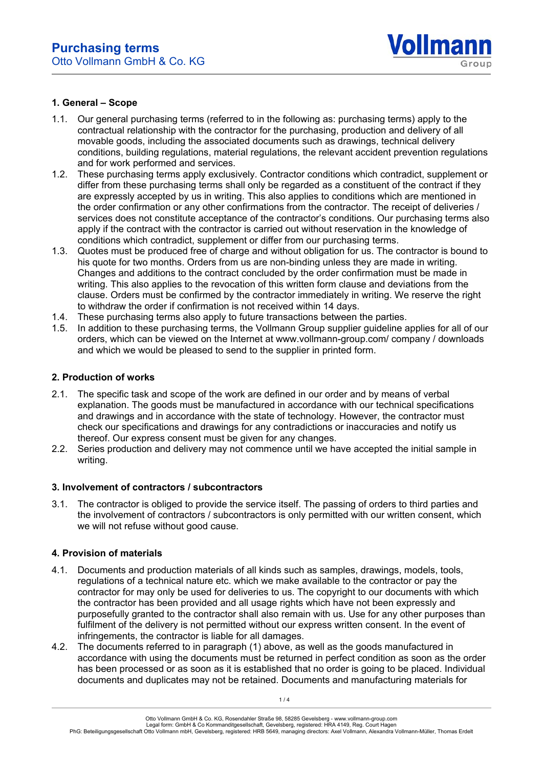

### **1. General – Scope**

- 1.1. Our general purchasing terms (referred to in the following as: purchasing terms) apply to the contractual relationship with the contractor for the purchasing, production and delivery of all movable goods, including the associated documents such as drawings, technical delivery conditions, building regulations, material regulations, the relevant accident prevention regulations and for work performed and services.
- 1.2. These purchasing terms apply exclusively. Contractor conditions which contradict, supplement or differ from these purchasing terms shall only be regarded as a constituent of the contract if they are expressly accepted by us in writing. This also applies to conditions which are mentioned in the order confirmation or any other confirmations from the contractor. The receipt of deliveries / services does not constitute acceptance of the contractor's conditions. Our purchasing terms also apply if the contract with the contractor is carried out without reservation in the knowledge of conditions which contradict, supplement or differ from our purchasing terms.
- 1.3. Quotes must be produced free of charge and without obligation for us. The contractor is bound to his quote for two months. Orders from us are non-binding unless they are made in writing. Changes and additions to the contract concluded by the order confirmation must be made in writing. This also applies to the revocation of this written form clause and deviations from the clause. Orders must be confirmed by the contractor immediately in writing. We reserve the right to withdraw the order if confirmation is not received within 14 days.
- 1.4. These purchasing terms also apply to future transactions between the parties.
- 1.5. In addition to these purchasing terms, the Vollmann Group supplier guideline applies for all of our orders, which can be viewed on the Internet at www.vollmann-group.com/ company / downloads and which we would be pleased to send to the supplier in printed form.

# **2. Production of works**

- 2.1. The specific task and scope of the work are defined in our order and by means of verbal explanation. The goods must be manufactured in accordance with our technical specifications and drawings and in accordance with the state of technology. However, the contractor must check our specifications and drawings for any contradictions or inaccuracies and notify us thereof. Our express consent must be given for any changes.
- 2.2. Series production and delivery may not commence until we have accepted the initial sample in writing.

#### **3. Involvement of contractors / subcontractors**

3.1. The contractor is obliged to provide the service itself. The passing of orders to third parties and the involvement of contractors / subcontractors is only permitted with our written consent, which we will not refuse without good cause.

#### **4. Provision of materials**

- 4.1. Documents and production materials of all kinds such as samples, drawings, models, tools, regulations of a technical nature etc. which we make available to the contractor or pay the contractor for may only be used for deliveries to us. The copyright to our documents with which the contractor has been provided and all usage rights which have not been expressly and purposefully granted to the contractor shall also remain with us. Use for any other purposes than fulfilment of the delivery is not permitted without our express written consent. In the event of infringements, the contractor is liable for all damages.
- 4.2. The documents referred to in paragraph (1) above, as well as the goods manufactured in accordance with using the documents must be returned in perfect condition as soon as the order has been processed or as soon as it is established that no order is going to be placed. Individual documents and duplicates may not be retained. Documents and manufacturing materials for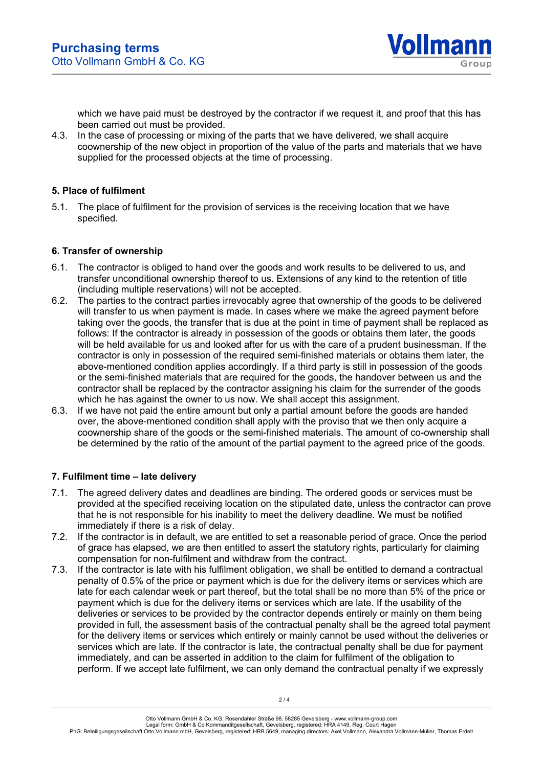

which we have paid must be destroyed by the contractor if we request it, and proof that this has been carried out must be provided.

4.3. In the case of processing or mixing of the parts that we have delivered, we shall acquire coownership of the new object in proportion of the value of the parts and materials that we have supplied for the processed objects at the time of processing.

# **5. Place of fulfilment**

5.1. The place of fulfilment for the provision of services is the receiving location that we have specified.

# **6. Transfer of ownership**

- 6.1. The contractor is obliged to hand over the goods and work results to be delivered to us, and transfer unconditional ownership thereof to us. Extensions of any kind to the retention of title (including multiple reservations) will not be accepted.
- 6.2. The parties to the contract parties irrevocably agree that ownership of the goods to be delivered will transfer to us when payment is made. In cases where we make the agreed payment before taking over the goods, the transfer that is due at the point in time of payment shall be replaced as follows: If the contractor is already in possession of the goods or obtains them later, the goods will be held available for us and looked after for us with the care of a prudent businessman. If the contractor is only in possession of the required semi-finished materials or obtains them later, the above-mentioned condition applies accordingly. If a third party is still in possession of the goods or the semi-finished materials that are required for the goods, the handover between us and the contractor shall be replaced by the contractor assigning his claim for the surrender of the goods which he has against the owner to us now. We shall accept this assignment.
- 6.3. If we have not paid the entire amount but only a partial amount before the goods are handed over, the above-mentioned condition shall apply with the proviso that we then only acquire a coownership share of the goods or the semi-finished materials. The amount of co-ownership shall be determined by the ratio of the amount of the partial payment to the agreed price of the goods.

# **7. Fulfilment time – late delivery**

- 7.1. The agreed delivery dates and deadlines are binding. The ordered goods or services must be provided at the specified receiving location on the stipulated date, unless the contractor can prove that he is not responsible for his inability to meet the delivery deadline. We must be notified immediately if there is a risk of delay.
- 7.2. If the contractor is in default, we are entitled to set a reasonable period of grace. Once the period of grace has elapsed, we are then entitled to assert the statutory rights, particularly for claiming compensation for non-fulfilment and withdraw from the contract.
- 7.3. If the contractor is late with his fulfilment obligation, we shall be entitled to demand a contractual penalty of 0.5% of the price or payment which is due for the delivery items or services which are late for each calendar week or part thereof, but the total shall be no more than 5% of the price or payment which is due for the delivery items or services which are late. If the usability of the deliveries or services to be provided by the contractor depends entirely or mainly on them being provided in full, the assessment basis of the contractual penalty shall be the agreed total payment for the delivery items or services which entirely or mainly cannot be used without the deliveries or services which are late. If the contractor is late, the contractual penalty shall be due for payment immediately, and can be asserted in addition to the claim for fulfilment of the obligation to perform. If we accept late fulfilment, we can only demand the contractual penalty if we expressly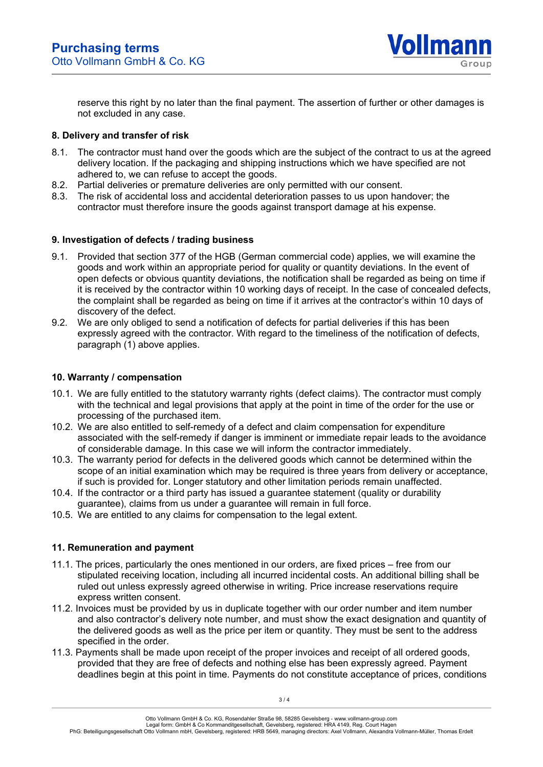

reserve this right by no later than the final payment. The assertion of further or other damages is not excluded in any case.

### **8. Delivery and transfer of risk**

- 8.1. The contractor must hand over the goods which are the subject of the contract to us at the agreed delivery location. If the packaging and shipping instructions which we have specified are not adhered to, we can refuse to accept the goods.
- 8.2. Partial deliveries or premature deliveries are only permitted with our consent.
- 8.3. The risk of accidental loss and accidental deterioration passes to us upon handover; the contractor must therefore insure the goods against transport damage at his expense.

### **9. Investigation of defects / trading business**

- 9.1. Provided that section 377 of the HGB (German commercial code) applies, we will examine the goods and work within an appropriate period for quality or quantity deviations. In the event of open defects or obvious quantity deviations, the notification shall be regarded as being on time if it is received by the contractor within 10 working days of receipt. In the case of concealed defects, the complaint shall be regarded as being on time if it arrives at the contractor's within 10 days of discovery of the defect.
- 9.2. We are only obliged to send a notification of defects for partial deliveries if this has been expressly agreed with the contractor. With regard to the timeliness of the notification of defects, paragraph (1) above applies.

### **10. Warranty / compensation**

- 10.1. We are fully entitled to the statutory warranty rights (defect claims). The contractor must comply with the technical and legal provisions that apply at the point in time of the order for the use or processing of the purchased item.
- 10.2. We are also entitled to self-remedy of a defect and claim compensation for expenditure associated with the self-remedy if danger is imminent or immediate repair leads to the avoidance of considerable damage. In this case we will inform the contractor immediately.
- 10.3. The warranty period for defects in the delivered goods which cannot be determined within the scope of an initial examination which may be required is three years from delivery or acceptance, if such is provided for. Longer statutory and other limitation periods remain unaffected.
- 10.4. If the contractor or a third party has issued a guarantee statement (quality or durability guarantee), claims from us under a guarantee will remain in full force.
- 10.5. We are entitled to any claims for compensation to the legal extent.

# **11. Remuneration and payment**

- 11.1. The prices, particularly the ones mentioned in our orders, are fixed prices free from our stipulated receiving location, including all incurred incidental costs. An additional billing shall be ruled out unless expressly agreed otherwise in writing. Price increase reservations require express written consent.
- 11.2. Invoices must be provided by us in duplicate together with our order number and item number and also contractor's delivery note number, and must show the exact designation and quantity of the delivered goods as well as the price per item or quantity. They must be sent to the address specified in the order.
- 11.3. Payments shall be made upon receipt of the proper invoices and receipt of all ordered goods, provided that they are free of defects and nothing else has been expressly agreed. Payment deadlines begin at this point in time. Payments do not constitute acceptance of prices, conditions